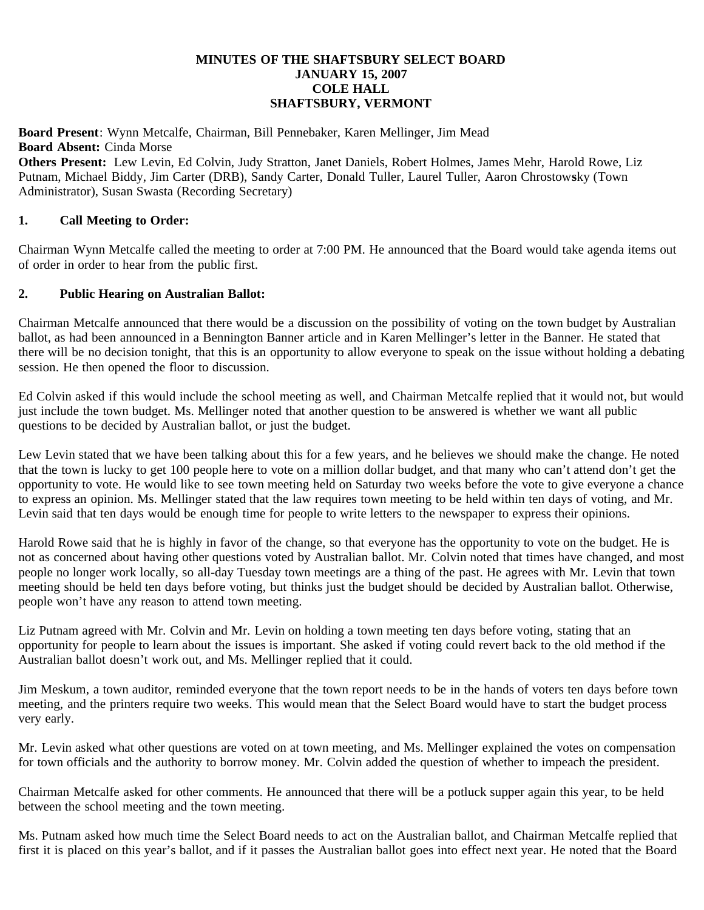## **MINUTES OF THE SHAFTSBURY SELECT BOARD JANUARY 15, 2007 COLE HALL SHAFTSBURY, VERMONT**

**Board Present**: Wynn Metcalfe, Chairman, Bill Pennebaker, Karen Mellinger, Jim Mead **Board Absent:** Cinda Morse **Others Present:** Lew Levin, Ed Colvin, Judy Stratton, Janet Daniels, Robert Holmes, James Mehr, Harold Rowe, Liz Putnam, Michael Biddy, Jim Carter (DRB), Sandy Carter, Donald Tuller, Laurel Tuller, Aaron Chrostow**s**ky (Town Administrator), Susan Swasta (Recording Secretary)

## **1. Call Meeting to Order:**

Chairman Wynn Metcalfe called the meeting to order at 7:00 PM. He announced that the Board would take agenda items out of order in order to hear from the public first.

## **2. Public Hearing on Australian Ballot:**

Chairman Metcalfe announced that there would be a discussion on the possibility of voting on the town budget by Australian ballot, as had been announced in a Bennington Banner article and in Karen Mellinger's letter in the Banner. He stated that there will be no decision tonight, that this is an opportunity to allow everyone to speak on the issue without holding a debating session. He then opened the floor to discussion.

Ed Colvin asked if this would include the school meeting as well, and Chairman Metcalfe replied that it would not, but would just include the town budget. Ms. Mellinger noted that another question to be answered is whether we want all public questions to be decided by Australian ballot, or just the budget.

Lew Levin stated that we have been talking about this for a few years, and he believes we should make the change. He noted that the town is lucky to get 100 people here to vote on a million dollar budget, and that many who can't attend don't get the opportunity to vote. He would like to see town meeting held on Saturday two weeks before the vote to give everyone a chance to express an opinion. Ms. Mellinger stated that the law requires town meeting to be held within ten days of voting, and Mr. Levin said that ten days would be enough time for people to write letters to the newspaper to express their opinions.

Harold Rowe said that he is highly in favor of the change, so that everyone has the opportunity to vote on the budget. He is not as concerned about having other questions voted by Australian ballot. Mr. Colvin noted that times have changed, and most people no longer work locally, so all-day Tuesday town meetings are a thing of the past. He agrees with Mr. Levin that town meeting should be held ten days before voting, but thinks just the budget should be decided by Australian ballot. Otherwise, people won't have any reason to attend town meeting.

Liz Putnam agreed with Mr. Colvin and Mr. Levin on holding a town meeting ten days before voting, stating that an opportunity for people to learn about the issues is important. She asked if voting could revert back to the old method if the Australian ballot doesn't work out, and Ms. Mellinger replied that it could.

Jim Meskum, a town auditor, reminded everyone that the town report needs to be in the hands of voters ten days before town meeting, and the printers require two weeks. This would mean that the Select Board would have to start the budget process very early.

Mr. Levin asked what other questions are voted on at town meeting, and Ms. Mellinger explained the votes on compensation for town officials and the authority to borrow money. Mr. Colvin added the question of whether to impeach the president.

Chairman Metcalfe asked for other comments. He announced that there will be a potluck supper again this year, to be held between the school meeting and the town meeting.

Ms. Putnam asked how much time the Select Board needs to act on the Australian ballot, and Chairman Metcalfe replied that first it is placed on this year's ballot, and if it passes the Australian ballot goes into effect next year. He noted that the Board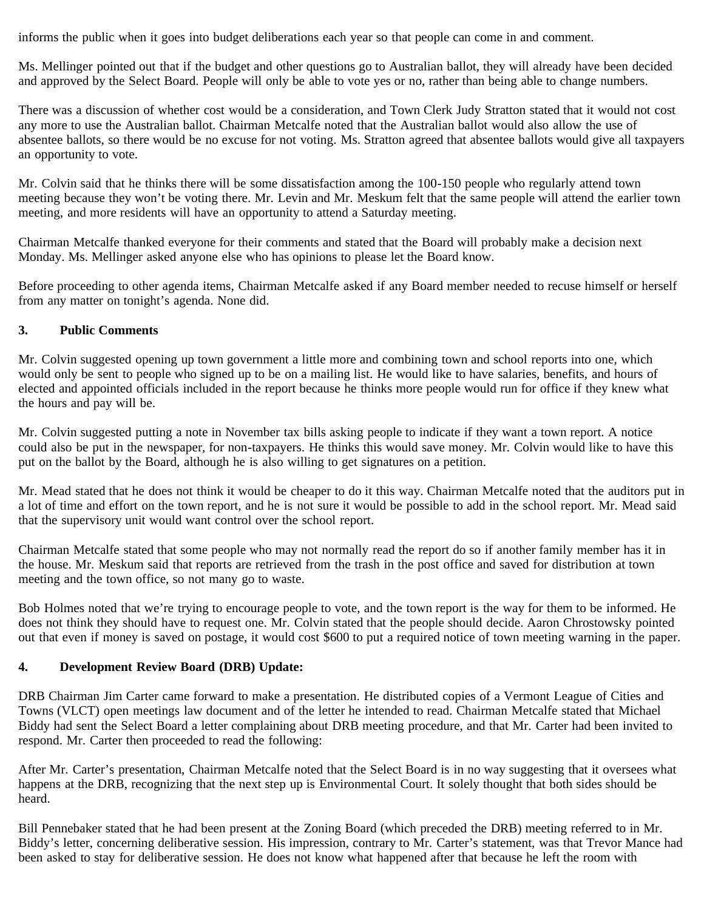informs the public when it goes into budget deliberations each year so that people can come in and comment.

Ms. Mellinger pointed out that if the budget and other questions go to Australian ballot, they will already have been decided and approved by the Select Board. People will only be able to vote yes or no, rather than being able to change numbers.

There was a discussion of whether cost would be a consideration, and Town Clerk Judy Stratton stated that it would not cost any more to use the Australian ballot. Chairman Metcalfe noted that the Australian ballot would also allow the use of absentee ballots, so there would be no excuse for not voting. Ms. Stratton agreed that absentee ballots would give all taxpayers an opportunity to vote.

Mr. Colvin said that he thinks there will be some dissatisfaction among the 100-150 people who regularly attend town meeting because they won't be voting there. Mr. Levin and Mr. Meskum felt that the same people will attend the earlier town meeting, and more residents will have an opportunity to attend a Saturday meeting.

Chairman Metcalfe thanked everyone for their comments and stated that the Board will probably make a decision next Monday. Ms. Mellinger asked anyone else who has opinions to please let the Board know.

Before proceeding to other agenda items, Chairman Metcalfe asked if any Board member needed to recuse himself or herself from any matter on tonight's agenda. None did.

# **3. Public Comments**

Mr. Colvin suggested opening up town government a little more and combining town and school reports into one, which would only be sent to people who signed up to be on a mailing list. He would like to have salaries, benefits, and hours of elected and appointed officials included in the report because he thinks more people would run for office if they knew what the hours and pay will be.

Mr. Colvin suggested putting a note in November tax bills asking people to indicate if they want a town report. A notice could also be put in the newspaper, for non-taxpayers. He thinks this would save money. Mr. Colvin would like to have this put on the ballot by the Board, although he is also willing to get signatures on a petition.

Mr. Mead stated that he does not think it would be cheaper to do it this way. Chairman Metcalfe noted that the auditors put in a lot of time and effort on the town report, and he is not sure it would be possible to add in the school report. Mr. Mead said that the supervisory unit would want control over the school report.

Chairman Metcalfe stated that some people who may not normally read the report do so if another family member has it in the house. Mr. Meskum said that reports are retrieved from the trash in the post office and saved for distribution at town meeting and the town office, so not many go to waste.

Bob Holmes noted that we're trying to encourage people to vote, and the town report is the way for them to be informed. He does not think they should have to request one. Mr. Colvin stated that the people should decide. Aaron Chrostowsky pointed out that even if money is saved on postage, it would cost \$600 to put a required notice of town meeting warning in the paper.

# **4. Development Review Board (DRB) Update:**

DRB Chairman Jim Carter came forward to make a presentation. He distributed copies of a Vermont League of Cities and Towns (VLCT) open meetings law document and of the letter he intended to read. Chairman Metcalfe stated that Michael Biddy had sent the Select Board a letter complaining about DRB meeting procedure, and that Mr. Carter had been invited to respond. Mr. Carter then proceeded to read the following:

After Mr. Carter's presentation, Chairman Metcalfe noted that the Select Board is in no way suggesting that it oversees what happens at the DRB, recognizing that the next step up is Environmental Court. It solely thought that both sides should be heard.

Bill Pennebaker stated that he had been present at the Zoning Board (which preceded the DRB) meeting referred to in Mr. Biddy's letter, concerning deliberative session. His impression, contrary to Mr. Carter's statement, was that Trevor Mance had been asked to stay for deliberative session. He does not know what happened after that because he left the room with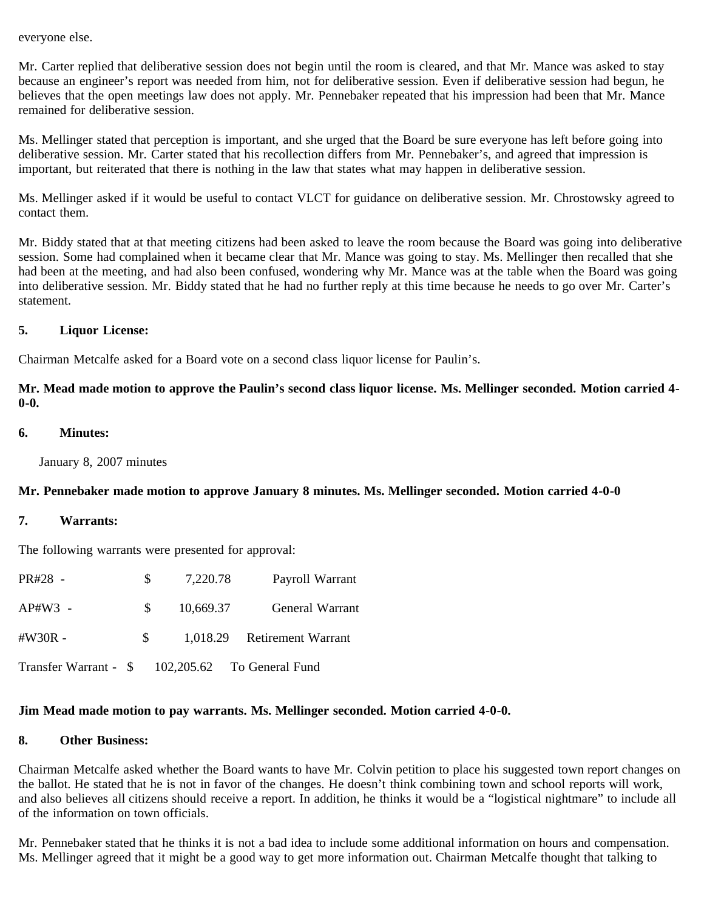#### everyone else.

Mr. Carter replied that deliberative session does not begin until the room is cleared, and that Mr. Mance was asked to stay because an engineer's report was needed from him, not for deliberative session. Even if deliberative session had begun, he believes that the open meetings law does not apply. Mr. Pennebaker repeated that his impression had been that Mr. Mance remained for deliberative session.

Ms. Mellinger stated that perception is important, and she urged that the Board be sure everyone has left before going into deliberative session. Mr. Carter stated that his recollection differs from Mr. Pennebaker's, and agreed that impression is important, but reiterated that there is nothing in the law that states what may happen in deliberative session.

Ms. Mellinger asked if it would be useful to contact VLCT for guidance on deliberative session. Mr. Chrostowsky agreed to contact them.

Mr. Biddy stated that at that meeting citizens had been asked to leave the room because the Board was going into deliberative session. Some had complained when it became clear that Mr. Mance was going to stay. Ms. Mellinger then recalled that she had been at the meeting, and had also been confused, wondering why Mr. Mance was at the table when the Board was going into deliberative session. Mr. Biddy stated that he had no further reply at this time because he needs to go over Mr. Carter's statement.

# **5. Liquor License:**

Chairman Metcalfe asked for a Board vote on a second class liquor license for Paulin's.

**Mr. Mead made motion to approve the Paulin's second class liquor license. Ms. Mellinger seconded. Motion carried 4- 0-0.**

#### **6. Minutes:**

January 8, 2007 minutes

# **Mr. Pennebaker made motion to approve January 8 minutes. Ms. Mellinger seconded. Motion carried 4-0-0**

## **7. Warrants:**

The following warrants were presented for approval:

| PR#28 -                                          | S.           | 7,220.78  | Payroll Warrant             |
|--------------------------------------------------|--------------|-----------|-----------------------------|
| $AP#W3 -$                                        | $S_{\alpha}$ | 10,669.37 | General Warrant             |
| $\#W30R -$                                       | S.           |           | 1,018.29 Retirement Warrant |
| Transfer Warrant - \$ 102,205.62 To General Fund |              |           |                             |

# **Jim Mead made motion to pay warrants. Ms. Mellinger seconded. Motion carried 4-0-0.**

### **8. Other Business:**

Chairman Metcalfe asked whether the Board wants to have Mr. Colvin petition to place his suggested town report changes on the ballot. He stated that he is not in favor of the changes. He doesn't think combining town and school reports will work, and also believes all citizens should receive a report. In addition, he thinks it would be a "logistical nightmare" to include all of the information on town officials.

Mr. Pennebaker stated that he thinks it is not a bad idea to include some additional information on hours and compensation. Ms. Mellinger agreed that it might be a good way to get more information out. Chairman Metcalfe thought that talking to